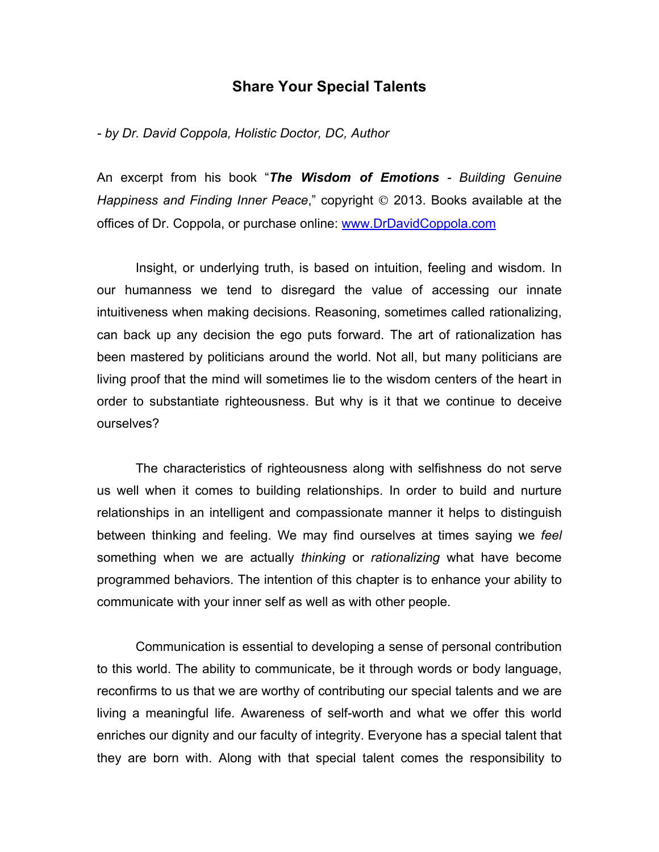## **Share Your Special Talents**

*- by Dr. David Coppola, Holistic Doctor, DC, Author*

An excerpt from his book "*The Wisdom of Emotions - Building Genuine Happiness and Finding Inner Peace*," copyright © 2013. Books available at the offices of Dr. Coppola, or purchase online: www.DrDavidCoppola.com

Insight, or underlying truth, is based on intuition, feeling and wisdom. In our humanness we tend to disregard the value of accessing our innate intuitiveness when making decisions. Reasoning, sometimes called rationalizing, can back up any decision the ego puts forward. The art of rationalization has been mastered by politicians around the world. Not all, but many politicians are living proof that the mind will sometimes lie to the wisdom centers of the heart in order to substantiate righteousness. But why is it that we continue to deceive ourselves?

The characteristics of righteousness along with selfishness do not serve us well when it comes to building relationships. In order to build and nurture relationships in an intelligent and compassionate manner it helps to distinguish between thinking and feeling. We may find ourselves at times saying we *feel* something when we are actually *thinking* or *rationalizing* what have become programmed behaviors. The intention of this chapter is to enhance your ability to communicate with your inner self as well as with other people.

Communication is essential to developing a sense of personal contribution to this world. The ability to communicate, be it through words or body language, reconfirms to us that we are worthy of contributing our special talents and we are living a meaningful life. Awareness of self-worth and what we offer this world enriches our dignity and our faculty of integrity. Everyone has a special talent that they are born with. Along with that special talent comes the responsibility to